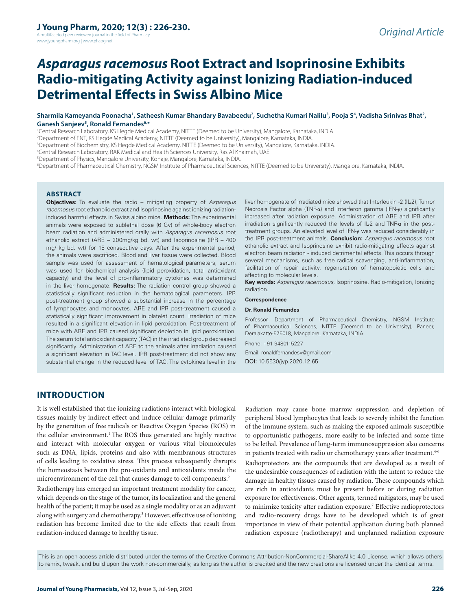A multifaceted peer reviewed journal in the field of Pharm www.jyoungpharm.org | www.phcog.net

# *Asparagus racemosus* **Root Extract and Isoprinosine Exhibits Radio-mitigating Activity against Ionizing Radiation-induced Detrimental Effects in Swiss Albino Mice**

#### **Sharmila Kameyanda Poonacha1 , Satheesh Kumar Bhandary Bavabeedu2 , Suchetha Kumari Nalilu3 , Pooja S4 , Vadisha Srinivas Bhat2 , Ganesh Sanjeev5 , Ronald Fernandes6,\***

1 Central Research Laboratory, KS Hegde Medical Academy, NITTE (Deemed to be University), Mangalore, Karnataka, INDIA.

2 Department of ENT, KS Hegde Medical Academy, NITTE (Deemed to be University), Mangalore, Karnataka, INDIA.

3 Department of Biochemistry, KS Hegde Medical Academy, NITTE (Deemed to be University), Mangalore, Karnataka, INDIA.

4 Central Research Laboratory, RAK Medical and Health Sciences University, Ras Al Khaimah, UAE.

5 Department of Physics, Mangalore University, Konaje, Mangalore, Karnataka, INDIA.

6 Department of Pharmaceutical Chemistry, NGSM Institute of Pharmaceutical Sciences, NITTE (Deemed to be University), Mangalore, Karnataka, INDIA.

#### **ABSTRACT**

**Objectives:** To evaluate the radio – mitigating property of *Asparagus racemosus* root ethanolic extract and Isoprinosine against ionizing radiationinduced harmful effects in Swiss albino mice. **Methods:** The experimental animals were exposed to sublethal dose (6 Gy) of whole-body electron beam radiation and administered orally with *Asparagus racemosus* root ethanolic extract (ARE – 200mg/kg bd. wt) and Isoprinosine (IPR – 400 mg/ kg bd. wt) for 15 consecutive days. After the experimental period, the animals were sacrificed. Blood and liver tissue were collected. Blood sample was used for assessment of hematological parameters, serum was used for biochemical analysis (lipid peroxidation, total antioxidant capacity) and the level of pro-inflammatory cytokines was determined in the liver homogenate. **Results:** The radiation control group showed a statistically significant reduction in the hematological parameters. IPR post-treatment group showed a substantial increase in the percentage of lymphocytes and monocytes. ARE and IPR post-treatment caused a statistically significant improvement in platelet count. Irradiation of mice resulted in a significant elevation in lipid peroxidation. Post-treatment of mice with ARE and IPR caused significant depletion in lipid peroxidation. The serum total antioxidant capacity (TAC) in the irradiated group decreased significantly. Administration of ARE to the animals after irradiation caused a significant elevation in TAC level. IPR post-treatment did not show any substantial change in the reduced level of TAC. The cytokines level in the

liver homogenate of irradiated mice showed that Interleukin -2 (IL-2), Tumor Necrosis Factor alpha (TNF-α) and Interferon gamma (IFN-γ) significantly increased after radiation exposure. Administration of ARE and IPR after irradiation significantly reduced the levels of IL-2 and TNF-α in the posttreatment groups. An elevated level of IFN-γ was reduced considerably in the IPR post-treatment animals. **Conclusion:** *Asparagus racemosus* root ethanolic extract and Isoprinosine exhibit radio-mitigating effects against electron beam radiation - induced detrimental effects. This occurs through several mechanisms, such as free radical scavenging, anti-inflammation, facilitation of repair activity, regeneration of hematopoietic cells and affecting to molecular levels.

**Key words:** *Asparagus racemosus*, Isoprinosine, Radio-mitigation, Ionizing radiation.

#### **Correspondence**

#### **Dr. Ronald Fernandes**

Professor, Department of Pharmaceutical Chemistry, NGSM Institute of Pharmaceutical Sciences, NITTE (Deemed to be University), Paneer, Deralakatte-575018, Mangalore, Karnataka, INDIA.

Phone: +91 9480115227

Email: ronaldfernandesv@gmail.com DOI: 10.5530/jyp.2020.12.65

# **INTRODUCTION**

It is well established that the ionizing radiations interact with biological tissues mainly by indirect effect and induce cellular damage primarily by the generation of free radicals or Reactive Oxygen Species (ROS) in the cellular environment.<sup>1</sup> The ROS thus generated are highly reactive and interact with molecular oxygen or various vital biomolecules such as DNA, lipids, proteins and also with membranous structures of cells leading to oxidative stress. This process subsequently disrupts the homeostasis between the pro-oxidants and antioxidants inside the microenvironment of the cell that causes damage to cell components.<sup>2</sup>

Radiotherapy has emerged an important treatment modality for cancer, which depends on the stage of the tumor, its localization and the general health of the patient; it may be used as a single modality or as an adjuvant along with surgery and chemotherapy.3 However, effective use of ionizing radiation has become limited due to the side effects that result from radiation-induced damage to healthy tissue.

Radiation may cause bone marrow suppression and depletion of peripheral blood lymphocytes that leads to severely inhibit the function of the immune system, such as making the exposed animals susceptible to opportunistic pathogens, more easily to be infected and some time to be lethal. Prevalence of long-term immunosuppression also concerns in patients treated with radio or chemotherapy years after treatment.<sup>4-6</sup>

Radioprotectors are the compounds that are developed as a result of the undesirable consequences of radiation with the intent to reduce the damage in healthy tissues caused by radiation. These compounds which are rich in antioxidants must be present before or during radiation exposure for effectiveness. Other agents, termed mitigators, may be used to minimize toxicity after radiation exposure.<sup>7</sup> Effective radioprotectors and radio-recovery drugs have to be developed which is of great importance in view of their potential application during both planned radiation exposure (radiotherapy) and unplanned radiation exposure

This is an open access article distributed under the terms of the Creative Commons Attribution-NonCommercial-ShareAlike 4.0 License, which allows others to remix, tweak, and build upon the work non-commercially, as long as the author is credited and the new creations are licensed under the identical terms.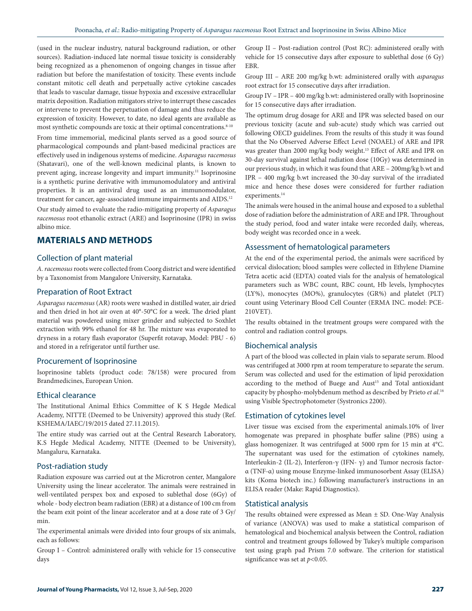(used in the nuclear industry, natural background radiation, or other sources). Radiation-induced late normal tissue toxicity is considerably being recognized as a phenomenon of ongoing changes in tissue after radiation but before the manifestation of toxicity. These events include constant mitotic cell death and perpetually active cytokine cascades that leads to vascular damage, tissue hypoxia and excessive extracellular matrix deposition. Radiation mitigators strive to interrupt these cascades or intervene to prevent the perpetuation of damage and thus reduce the expression of toxicity. However, to date, no ideal agents are available as most synthetic compounds are toxic at their optimal concentrations.<sup>8-10</sup>

From time immemorial, medicinal plants served as a good source of pharmacological compounds and plant-based medicinal practices are effectively used in indigenous systems of medicine. *Asparagus racemosus* (Shatavari), one of the well-known medicinal plants, is known to prevent aging, increase longevity and impart immunity.<sup>11</sup> Isoprinosine is a synthetic purine derivative with immunomodulatory and antiviral properties. It is an antiviral drug used as an immunomodulator, treatment for cancer, age-associated immune impairments and AIDS.<sup>12</sup>

Our study aimed to evaluate the radio-mitigating property of *Asparagus racemosus* root ethanolic extract (ARE) and Isoprinosine (IPR) in swiss albino mice.

## **MATERIALS AND METHODS**

## Collection of plant material

*A. racemosus* roots were collected from Coorg district and were identified by a Taxonomist from Mangalore University, Karnataka.

#### Preparation of Root Extract

*Asparagus racemosus* (AR) roots were washed in distilled water, air dried and then dried in hot air oven at 40°-50°C for a week. The dried plant material was powdered using mixer grinder and subjected to Soxhlet extraction with 99% ethanol for 48 hr. The mixture was evaporated to dryness in a rotary flash evaporator (Superfit rotavap, Model: PBU - 6) and stored in a refrigerator until further use.

#### Procurement of Isoprinosine

Isoprinosine tablets (product code: 78/158) were procured from Brandmedicines, European Union.

## Ethical clearance

The Institutional Animal Ethics Committee of K S Hegde Medical Academy, NITTE (Deemed to be University) approved this study (Ref. KSHEMA/IAEC/19/2015 dated 27.11.2015).

The entire study was carried out at the Central Research Laboratory, K.S Hegde Medical Academy, NITTE (Deemed to be University), Mangaluru, Karnataka.

#### Post-radiation study

Radiation exposure was carried out at the Microtron center, Mangalore University using the linear accelerator. The animals were restrained in well-ventilated perspex box and exposed to sublethal dose (6Gy) of whole - body electron beam radiation (EBR) at a distance of 100 cm from the beam exit point of the linear accelerator and at a dose rate of 3 Gy/ min.

The experimental animals were divided into four groups of six animals, each as follows:

Group I – Control: administered orally with vehicle for 15 consecutive days

Group II – Post-radiation control (Post RC): administered orally with vehicle for 15 consecutive days after exposure to sublethal dose (6 Gy) EBR.

Group III – ARE 200 mg/kg b.wt: administered orally with *asparagus*  root extract for 15 consecutive days after irradiation.

Group IV – IPR – 400 mg/kg b.wt: administered orally with Isoprinosine for 15 consecutive days after irradiation.

The optimum drug dosage for ARE and IPR was selected based on our previous toxicity (acute and sub-acute) study which was carried out following OECD guidelines. From the results of this study it was found that the No Observed Adverse Effect Level (NOAEL) of ARE and IPR was greater than 2000 mg/kg body weight.13 Effect of ARE and IPR on 30-day survival against lethal radiation dose (10Gy) was determined in our previous study, in which it was found that ARE – 200mg/kg b.wt and IPR – 400 mg/kg b.wt increased the 30-day survival of the irradiated mice and hence these doses were considered for further radiation experiments.<sup>14</sup>

The animals were housed in the animal house and exposed to a sublethal dose of radiation before the administration of ARE and IPR. Throughout the study period, food and water intake were recorded daily, whereas, body weight was recorded once in a week.

#### Assessment of hematological parameters

At the end of the experimental period, the animals were sacrificed by cervical dislocation; blood samples were collected in Ethylene Diamine Tetra acetic acid (EDTA) coated vials for the analysis of hematological parameters such as WBC count, RBC count, Hb levels, lymphocytes (LY%), monocytes (MO%), granulocytes (GR%) and platelet (PLT) count using Veterinary Blood Cell Counter (ERMA INC. model: PCE-210VET).

The results obtained in the treatment groups were compared with the control and radiation control groups.

#### Biochemical analysis

A part of the blood was collected in plain vials to separate serum. Blood was centrifuged at 3000 rpm at room temperature to separate the serum. Serum was collected and used for the estimation of lipid peroxidation according to the method of Buege and Aust<sup>15</sup> and Total antioxidant capacity by phospho-molybdenum method as described by Prieto *et al*. 16 using Visible Spectrophotometer (Systronics 2200).

#### Estimation of cytokines level

Liver tissue was excised from the experimental animals.10% of liver homogenate was prepared in phosphate buffer saline (PBS) using a glass homogenizer. It was centrifuged at 5000 rpm for 15 min at 4°C. The supernatant was used for the estimation of cytokines namely, Interleukin-2 (IL-2), Interferon-γ (IFN- γ) and Tumor necrosis factorα (TNF-α) using mouse Enzyme-linked immunosorbent Assay (ELISA) kits (Koma biotech inc.) following manufacturer's instructions in an ELISA reader (Make: Rapid Diagnostics).

## Statistical analysis

The results obtained were expressed as Mean ± SD. One-Way Analysis of variance (ANOVA) was used to make a statistical comparison of hematological and biochemical analysis between the Control, radiation control and treatment groups followed by Tukey's multiple comparison test using graph pad Prism 7.0 software. The criterion for statistical significance was set at *p<*0.05*.*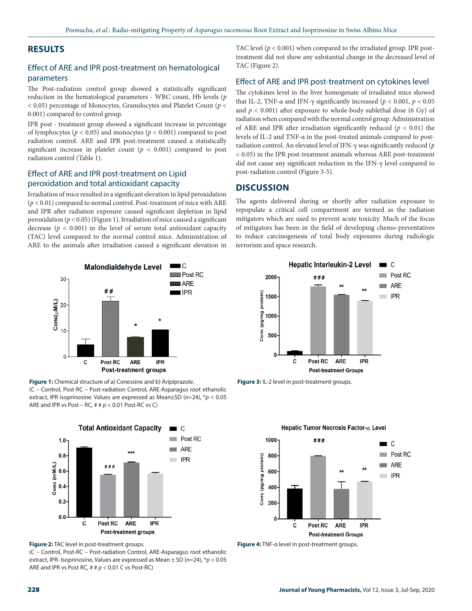# **RESULTS**

# Effect of ARE and IPR post-treatment on hematological parameters

The Post-radiation control group showed a statistically significant reduction in the hematological parameters - WBC count, Hb levels (*p* < 0.05) percentage of Monocytes, Granulocytes and Platelet Count (*p* < 0.001) compared to control group.

IPR post - treatment group showed a significant increase in percentage of lymphocytes ( $p < 0.05$ ) and monocytes ( $p < 0.001$ ) compared to post radiation control. ARE and IPR post-treatment caused a statistically significant increase in platelet count ( $p < 0.001$ ) compared to post radiation control (Table 1).

## Effect of ARE and IPR post-treatment on Lipid peroxidation and total antioxidant capacity

Irradiation of mice resulted in a significant elevation in lipid peroxidation (*p* < 0.01) compared to normal control. Post-treatment of mice with ARE and IPR after radiation exposure caused significant depletion in lipid peroxidation (*p* < 0.05) (Figure 1). Irradiation of mice caused a significant decrease ( $p < 0.001$ ) in the level of serum total antioxidant capacity (TAC) level compared to the normal control mice. Administration of ARE to the animals after irradiation caused a significant elevation in



**Figure 1:** Chemical structure of a) Conessine and b) Aripiprazole. (C – Control, Post-RC – Post-radiation Control, ARE-Asparagus root ethanolic extract, IPR Isoprinosine. Values are expressed as Mean±SD (*n*=24), \**p* < 0.05 ARE and IPR vs Post – RC, # # *p* < 0.01 Post-RC vs C)



**Figure 2:** TAC level in post-treatment groups.

(C – Control, Post-RC – Post-radiation Control, ARE-Asparagus root ethanolic extract, IPR- Isoprinosine, Values are expressed as Mean ± SD (*n*=24), \**p* < 0.05 ARE and IPR vs Post RC, # # *p* < 0.01 C vs Post-RC)

TAC level ( $p < 0.001$ ) when compared to the irradiated group. IPR posttreatment did not show any substantial change in the decreased level of TAC (Figure 2).

## Effect of ARE and IPR post-treatment on cytokines level

The cytokines level in the liver homogenate of irradiated mice showed that IL-2, TNF-α and IFN-γ significantly increased ( $p < 0.001$ ,  $p < 0.05$ ) and  $p < 0.001$ ) after exposure to whole-body sublethal dose (6 Gy) of radiation when compared with the normal control group. Administration of ARE and IPR after irradiation significantly reduced (*p* < 0.01) the levels of IL-2 and TNF-α in the post-treated animals compared to postradiation control. An elevated level of IFN-γ was significantly reduced (*p*  < 0.05) in the IPR post-treatment animals whereas ARE post-treatment did not cause any significant reduction in the IFN-γ level compared to post-radiation control (Figure 3-5).

# **DISCUSSION**

The agents delivered during or shortly after radiation exposure to repopulate a critical cell compartment are termed as the radiation mitigators which are used to prevent acute toxicity. Much of the focus of mitigators has been in the field of developing chemo-preventatives to reduce carcinogenesis of total body exposures during radiologic terrorism and space research.



**Figure 3:** IL-2 level in post-treatment groups.



**Figure 4:** TNF-α level in post-treatment groups.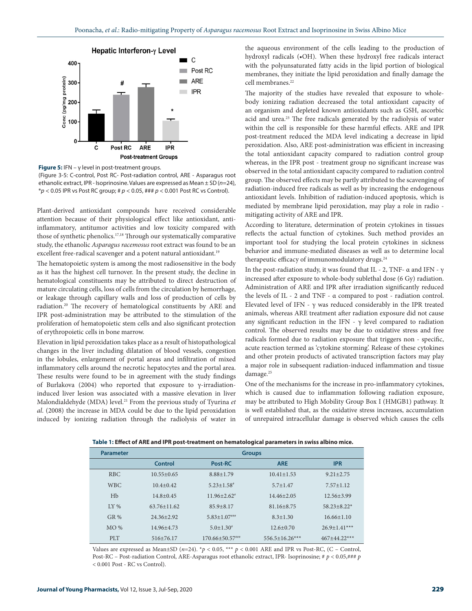

**Figure 5:** IFN – γ level in post-treatment groups.

(Figure 3-5: C-control, Post RC- Post-radiation control, ARE - Asparagus root ethanolic extract, IPR - Isoprinosine. Values are expressed as Mean ± SD (*n*=24), \**p* < 0.05 IPR vs Post RC group; # *p* < 0.05, ### *p* < 0.001 Post RC vs Control).

Plant-derived antioxidant compounds have received considerable attention because of their physiological effect like antioxidant, antiinflammatory, antitumor activities and low toxicity compared with those of synthetic phenolics.17,18 Through our systematically comparative study, the ethanolic *Asparagus racemosus* root extract was found to be an excellent free-radical scavenger and a potent natural antioxidant.<sup>19</sup>

The hematopoietic system is among the most radiosensitive in the body as it has the highest cell turnover. In the present study, the decline in hematological constituents may be attributed to direct destruction of mature circulating cells, loss of cells from the circulation by hemorrhage, or leakage through capillary walls and loss of production of cells by radiation.20 The recovery of hematological constituents by ARE and IPR post-administration may be attributed to the stimulation of the proliferation of hematopoietic stem cells and also significant protection of erythropoietic cells in bone marrow.

Elevation in lipid peroxidation takes place as a result of histopathological changes in the liver including dilatation of blood vessels, congestion in the lobules, enlargement of portal areas and infiltration of mixed inflammatory cells around the necrotic hepatocytes and the portal area. These results were found to be in agreement with the study findings of Burlakova (2004) who reported that exposure to γ-irradiationinduced liver lesion was associated with a massive elevation in liver Malondialdehyde (MDA) level.21 From the previous study of Tyurina *et al*. (2008) the increase in MDA could be due to the lipid peroxidation induced by ionizing radiation through the radiolysis of water in the aqueous environment of the cells leading to the production of hydroxyl radicals (•OH). When these hydroxyl free radicals interact with the polyunsaturated fatty acids in the lipid portion of biological membranes, they initiate the lipid peroxidation and finally damage the cell membranes.<sup>22</sup>

The majority of the studies have revealed that exposure to wholebody ionizing radiation decreased the total antioxidant capacity of an organism and depleted known antioxidants such as GSH, ascorbic acid and urea.<sup>23</sup> The free radicals generated by the radiolysis of water within the cell is responsible for these harmful effects. ARE and IPR post-treatment reduced the MDA level indicating a decrease in lipid peroxidation. Also, ARE post-administration was efficient in increasing the total antioxidant capacity compared to radiation control group whereas, in the IPR post - treatment group no significant increase was observed in the total antioxidant capacity compared to radiation control group. The observed effects may be partly attributed to the scavenging of radiation-induced free radicals as well as by increasing the endogenous antioxidant levels. Inhibition of radiation-induced apoptosis, which is mediated by membrane lipid peroxidation, may play a role in radio mitigating activity of ARE and IPR.

According to literature, determination of protein cytokines in tissues reflects the actual function of cytokines. Such method provides an important tool for studying the local protein cytokines in sickness behavior and immune-mediated diseases as well as to determine local therapeutic efficacy of immunomodulatory drugs.<sup>24</sup>

In the post-radiation study, it was found that IL - 2, TNF- α and IFN -  $γ$ increased after exposure to whole-body sublethal dose (6 Gy) radiation. Administration of ARE and IPR after irradiation significantly reduced the levels of IL - 2 and TNF - α compared to post - radiation control. Elevated level of IFN - γ was reduced considerably in the IPR treated animals, whereas ARE treatment after radiation exposure did not cause any significant reduction in the IFN -  $γ$  level compared to radiation control. The observed results may be due to oxidative stress and free radicals formed due to radiation exposure that triggers non - specific, acute reaction termed as 'cytokine storming'. Release of these cytokines and other protein products of activated transcription factors may play a major role in subsequent radiation-induced inflammation and tissue damage.<sup>25</sup>

One of the mechanisms for the increase in pro-inflammatory cytokines, which is caused due to inflammation following radiation exposure, may be attributed to High Mobility Group Box I (HMGB1) pathway. It is well established that, as the oxidative stress increases, accumulation of unrepaired intracellular damage is observed which causes the cells

| Table 1: Effect of ARE and IPR post-treatment on hematological parameters in swiss albino mice. |  |  |  |
|-------------------------------------------------------------------------------------------------|--|--|--|
|-------------------------------------------------------------------------------------------------|--|--|--|

| <b>Parameter</b> | <b>Groups</b>     |                                |                    |                  |  |
|------------------|-------------------|--------------------------------|--------------------|------------------|--|
|                  | Control           | Post-RC                        | <b>ARE</b>         | <b>IPR</b>       |  |
| <b>RBC</b>       | $10.55 + 0.65$    | $8.88 + 1.79$                  | $10.41 \pm 1.53$   | $9.21 + 2.75$    |  |
| <b>WBC</b>       | $10.4 + 0.42$     | $5.23 \pm 1.58$ <sup>#</sup>   | $5.7 + 1.47$       | $7.57 + 1.12$    |  |
| Hb               | $14.8 + 0.45$     | $11.96 + 2.62$ <sup>*</sup>    | $14.46 + 2.05$     | $12.56 + 3.99$   |  |
| $IY\%$           | $63.76 \pm 11.62$ | $85.9 + 8.17$                  | $81.16 + 8.75$     | $58.23 + 8.22*$  |  |
| <b>GR%</b>       | $24.36 + 2.92$    | $5.83 \pm 1.07$ <sup>***</sup> | $8.3 + 1.30$       | $16.66 \pm 1.10$ |  |
| MO%              | 14.96+4.73        | $5.0 + 1.30^*$                 | $12.6 + 0.70$      | $26.9+1.41***$   |  |
| <b>PLT</b>       | $516+76.17$       | $170.66 + 50.57***$            | $556.5 + 16.26***$ | $467+44.22***$   |  |

Values are expressed as Mean±SD ( $n=24$ ). \* $p < 0.05$ , \*\*\*  $p < 0.001$  ARE and IPR vs Post-RC, (C – Control, Post-RC – Post-radiation Control, ARE-Asparagus root ethanolic extract, IPR- Isoprinosine; # *p* < 0.05,### *p*  < 0.001 Post - RC vs Control).